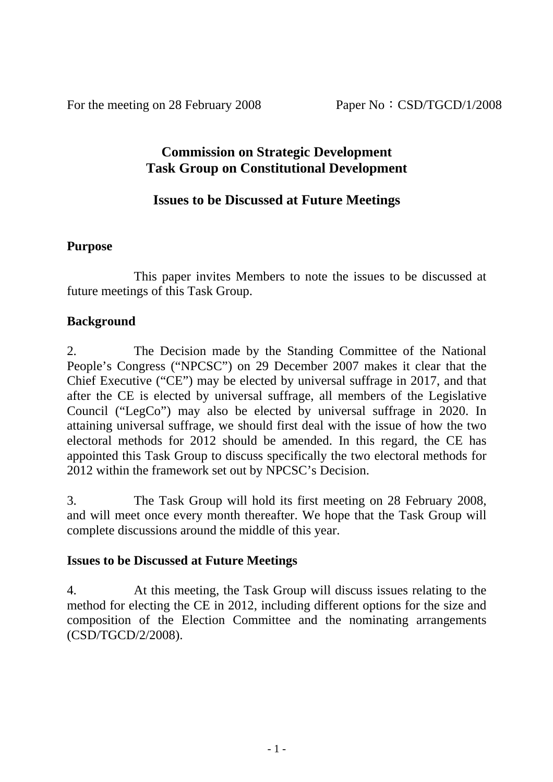For the meeting on 28 February 2008 Paper No: CSD/TGCD/1/2008

## **Commission on Strategic Development Task Group on Constitutional Development**

## **Issues to be Discussed at Future Meetings**

#### **Purpose**

 This paper invites Members to note the issues to be discussed at future meetings of this Task Group.

#### **Background**

2. The Decision made by the Standing Committee of the National People's Congress ("NPCSC") on 29 December 2007 makes it clear that the Chief Executive ("CE") may be elected by universal suffrage in 2017, and that after the CE is elected by universal suffrage, all members of the Legislative Council ("LegCo") may also be elected by universal suffrage in 2020. In attaining universal suffrage, we should first deal with the issue of how the two electoral methods for 2012 should be amended. In this regard, the CE has appointed this Task Group to discuss specifically the two electoral methods for 2012 within the framework set out by NPCSC's Decision.

3. The Task Group will hold its first meeting on 28 February 2008, and will meet once every month thereafter. We hope that the Task Group will complete discussions around the middle of this year.

#### **Issues to be Discussed at Future Meetings**

4. At this meeting, the Task Group will discuss issues relating to the method for electing the CE in 2012, including different options for the size and composition of the Election Committee and the nominating arrangements (CSD/TGCD/2/2008).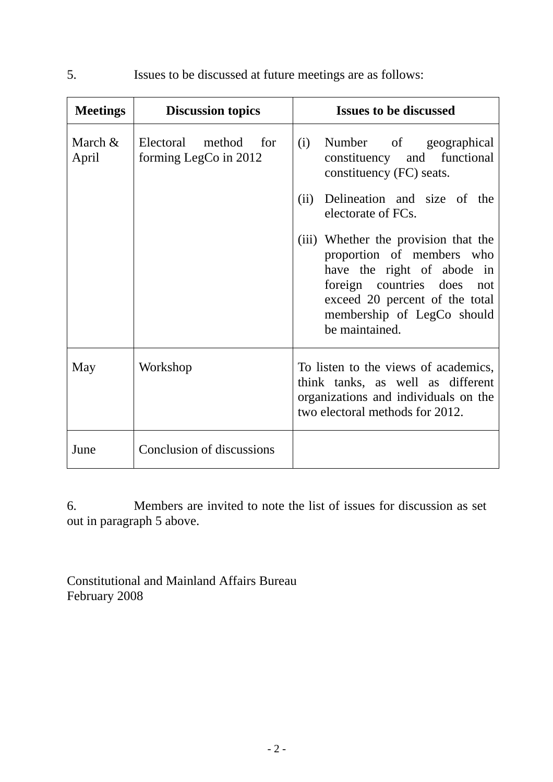| <b>Meetings</b>  | <b>Discussion topics</b>                      | <b>Issues to be discussed</b>                                                                                                                                                                                   |  |  |
|------------------|-----------------------------------------------|-----------------------------------------------------------------------------------------------------------------------------------------------------------------------------------------------------------------|--|--|
| March &<br>April | Electoral method for<br>forming LegCo in 2012 | Number of geographical<br>(i)<br>constituency and functional<br>constituency (FC) seats.                                                                                                                        |  |  |
|                  |                                               | Delineation and size of the<br>(ii)<br>electorate of FCs.                                                                                                                                                       |  |  |
|                  |                                               | (iii) Whether the provision that the<br>proportion of members who<br>have the right of abode in<br>foreign countries does not<br>exceed 20 percent of the total<br>membership of LegCo should<br>be maintained. |  |  |
| May              | Workshop                                      | To listen to the views of academics,<br>think tanks, as well as different<br>organizations and individuals on the<br>two electoral methods for 2012.                                                            |  |  |
| June             | Conclusion of discussions                     |                                                                                                                                                                                                                 |  |  |

5. Issues to be discussed at future meetings are as follows:

6. Members are invited to note the list of issues for discussion as set out in paragraph 5 above.

Constitutional and Mainland Affairs Bureau February 2008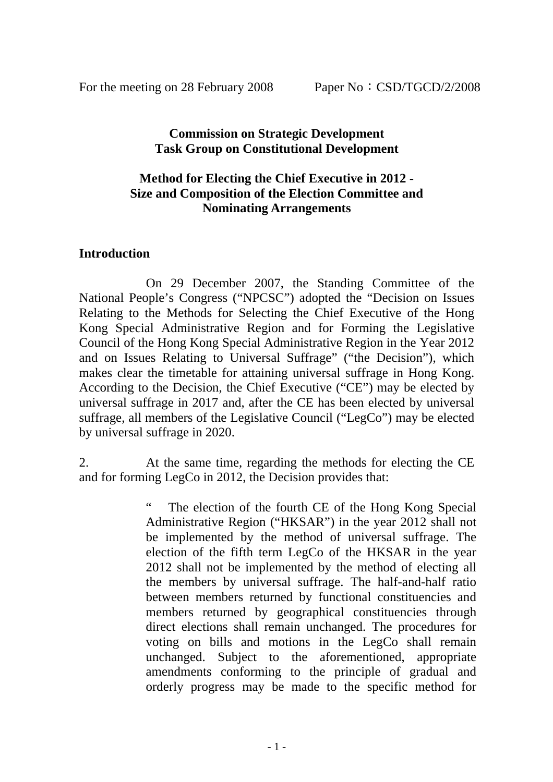#### **Commission on Strategic Development Task Group on Constitutional Development**

#### **Method for Electing the Chief Executive in 2012 - Size and Composition of the Election Committee and Nominating Arrangements**

#### **Introduction**

 On 29 December 2007, the Standing Committee of the National People's Congress ("NPCSC") adopted the "Decision on Issues Relating to the Methods for Selecting the Chief Executive of the Hong Kong Special Administrative Region and for Forming the Legislative Council of the Hong Kong Special Administrative Region in the Year 2012 and on Issues Relating to Universal Suffrage" ("the Decision"), which makes clear the timetable for attaining universal suffrage in Hong Kong. According to the Decision, the Chief Executive ("CE") may be elected by universal suffrage in 2017 and, after the CE has been elected by universal suffrage, all members of the Legislative Council ("LegCo") may be elected by universal suffrage in 2020.

2. At the same time, regarding the methods for electing the CE and for forming LegCo in 2012, the Decision provides that:

> The election of the fourth CE of the Hong Kong Special Administrative Region ("HKSAR") in the year 2012 shall not be implemented by the method of universal suffrage. The election of the fifth term LegCo of the HKSAR in the year 2012 shall not be implemented by the method of electing all the members by universal suffrage. The half-and-half ratio between members returned by functional constituencies and members returned by geographical constituencies through direct elections shall remain unchanged. The procedures for voting on bills and motions in the LegCo shall remain unchanged. Subject to the aforementioned, appropriate amendments conforming to the principle of gradual and orderly progress may be made to the specific method for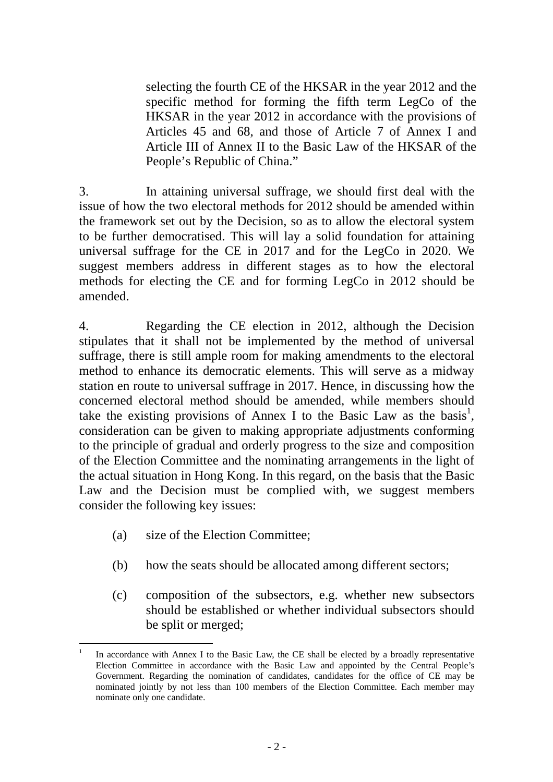selecting the fourth CE of the HKSAR in the year 2012 and the specific method for forming the fifth term LegCo of the HKSAR in the year 2012 in accordance with the provisions of Articles 45 and 68, and those of Article 7 of Annex I and Article III of Annex II to the Basic Law of the HKSAR of the People's Republic of China."

3. In attaining universal suffrage, we should first deal with the issue of how the two electoral methods for 2012 should be amended within the framework set out by the Decision, so as to allow the electoral system to be further democratised. This will lay a solid foundation for attaining universal suffrage for the CE in 2017 and for the LegCo in 2020. We suggest members address in different stages as to how the electoral methods for electing the CE and for forming LegCo in 2012 should be amended.

4. Regarding the CE election in 2012, although the Decision stipulates that it shall not be implemented by the method of universal suffrage, there is still ample room for making amendments to the electoral method to enhance its democratic elements. This will serve as a midway station en route to universal suffrage in 2017. Hence, in discussing how the concerned electoral method should be amended, while members should take the existing provisions of Annex I to the Basic Law as the basis<sup>1</sup>, consideration can be given to making appropriate adjustments conforming to the principle of gradual and orderly progress to the size and composition of the Election Committee and the nominating arrangements in the light of the actual situation in Hong Kong. In this regard, on the basis that the Basic Law and the Decision must be complied with, we suggest members consider the following key issues:

- (a) size of the Election Committee;
- (b) how the seats should be allocated among different sectors;
- (c) composition of the subsectors, e.g. whether new subsectors should be established or whether individual subsectors should be split or merged;

l 1 In accordance with Annex I to the Basic Law, the CE shall be elected by a broadly representative Election Committee in accordance with the Basic Law and appointed by the Central People's Government. Regarding the nomination of candidates, candidates for the office of CE may be nominated jointly by not less than 100 members of the Election Committee. Each member may nominate only one candidate.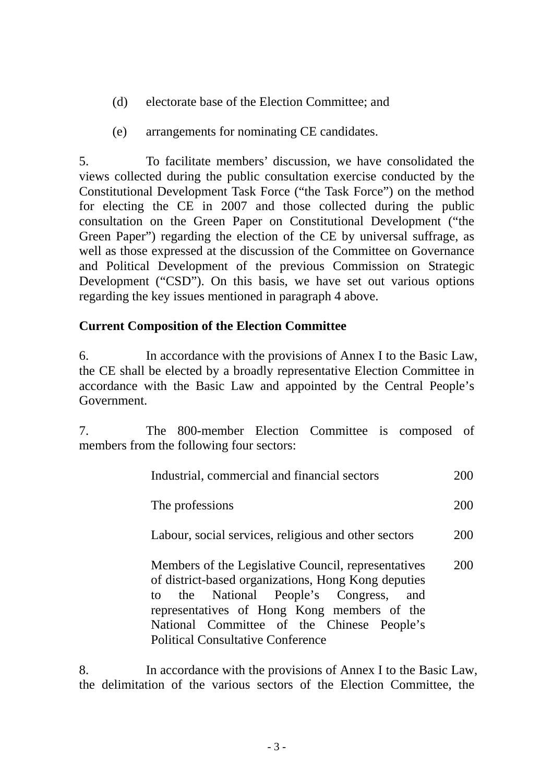- (d) electorate base of the Election Committee; and
- (e) arrangements for nominating CE candidates.

5. To facilitate members' discussion, we have consolidated the views collected during the public consultation exercise conducted by the Constitutional Development Task Force ("the Task Force") on the method for electing the CE in 2007 and those collected during the public consultation on the Green Paper on Constitutional Development ("the Green Paper") regarding the election of the CE by universal suffrage, as well as those expressed at the discussion of the Committee on Governance and Political Development of the previous Commission on Strategic Development ("CSD"). On this basis, we have set out various options regarding the key issues mentioned in paragraph 4 above.

#### **Current Composition of the Election Committee**

6. In accordance with the provisions of Annex I to the Basic Law, the CE shall be elected by a broadly representative Election Committee in accordance with the Basic Law and appointed by the Central People's Government.

7. The 800-member Election Committee is composed of members from the following four sectors:

|                 | Industrial, commercial and financial sectors                                                                                                                                                                                                                                                  | 200 |
|-----------------|-----------------------------------------------------------------------------------------------------------------------------------------------------------------------------------------------------------------------------------------------------------------------------------------------|-----|
| The professions |                                                                                                                                                                                                                                                                                               | 200 |
|                 | Labour, social services, religious and other sectors                                                                                                                                                                                                                                          | 200 |
|                 | Members of the Legislative Council, representatives<br>of district-based organizations, Hong Kong deputies<br>to the National People's Congress, and<br>representatives of Hong Kong members of the<br>National Committee of the Chinese People's<br><b>Political Consultative Conference</b> | 200 |

8. In accordance with the provisions of Annex I to the Basic Law, the delimitation of the various sectors of the Election Committee, the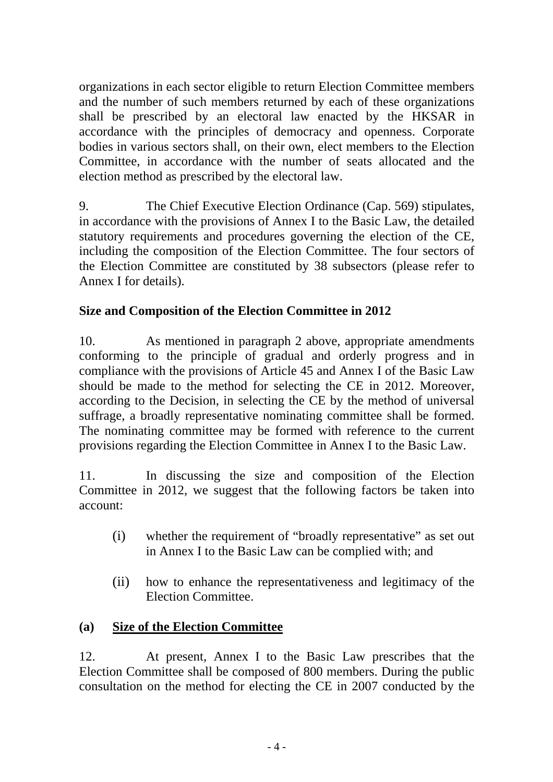organizations in each sector eligible to return Election Committee members and the number of such members returned by each of these organizations shall be prescribed by an electoral law enacted by the HKSAR in accordance with the principles of democracy and openness. Corporate bodies in various sectors shall, on their own, elect members to the Election Committee, in accordance with the number of seats allocated and the election method as prescribed by the electoral law.

9. The Chief Executive Election Ordinance (Cap. 569) stipulates, in accordance with the provisions of Annex I to the Basic Law, the detailed statutory requirements and procedures governing the election of the CE, including the composition of the Election Committee. The four sectors of the Election Committee are constituted by 38 subsectors (please refer to Annex I for details).

## **Size and Composition of the Election Committee in 2012**

10. As mentioned in paragraph 2 above, appropriate amendments conforming to the principle of gradual and orderly progress and in compliance with the provisions of Article 45 and Annex I of the Basic Law should be made to the method for selecting the CE in 2012. Moreover, according to the Decision, in selecting the CE by the method of universal suffrage, a broadly representative nominating committee shall be formed. The nominating committee may be formed with reference to the current provisions regarding the Election Committee in Annex I to the Basic Law.

11. In discussing the size and composition of the Election Committee in 2012, we suggest that the following factors be taken into account:

- (i) whether the requirement of "broadly representative" as set out in Annex I to the Basic Law can be complied with; and
- (ii) how to enhance the representativeness and legitimacy of the Election Committee.

## **(a) Size of the Election Committee**

12. At present, Annex I to the Basic Law prescribes that the Election Committee shall be composed of 800 members. During the public consultation on the method for electing the CE in 2007 conducted by the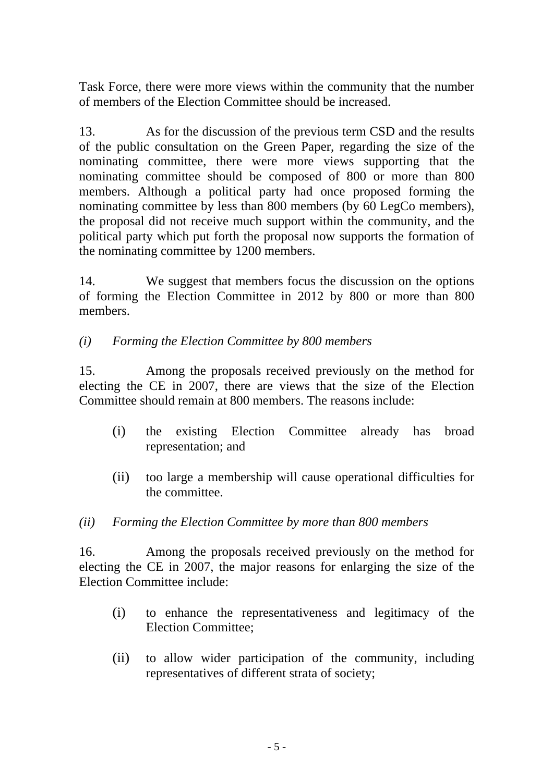Task Force, there were more views within the community that the number of members of the Election Committee should be increased.

13. As for the discussion of the previous term CSD and the results of the public consultation on the Green Paper, regarding the size of the nominating committee, there were more views supporting that the nominating committee should be composed of 800 or more than 800 members. Although a political party had once proposed forming the nominating committee by less than 800 members (by 60 LegCo members), the proposal did not receive much support within the community, and the political party which put forth the proposal now supports the formation of the nominating committee by 1200 members.

14. We suggest that members focus the discussion on the options of forming the Election Committee in 2012 by 800 or more than 800 members.

*(i) Forming the Election Committee by 800 members* 

15. Among the proposals received previously on the method for electing the CE in 2007, there are views that the size of the Election Committee should remain at 800 members. The reasons include:

- (i) the existing Election Committee already has broad representation; and
- (ii) too large a membership will cause operational difficulties for the committee.
- *(ii) Forming the Election Committee by more than 800 members*

16. Among the proposals received previously on the method for electing the CE in 2007, the major reasons for enlarging the size of the Election Committee include:

- (i) to enhance the representativeness and legitimacy of the Election Committee;
- (ii) to allow wider participation of the community, including representatives of different strata of society;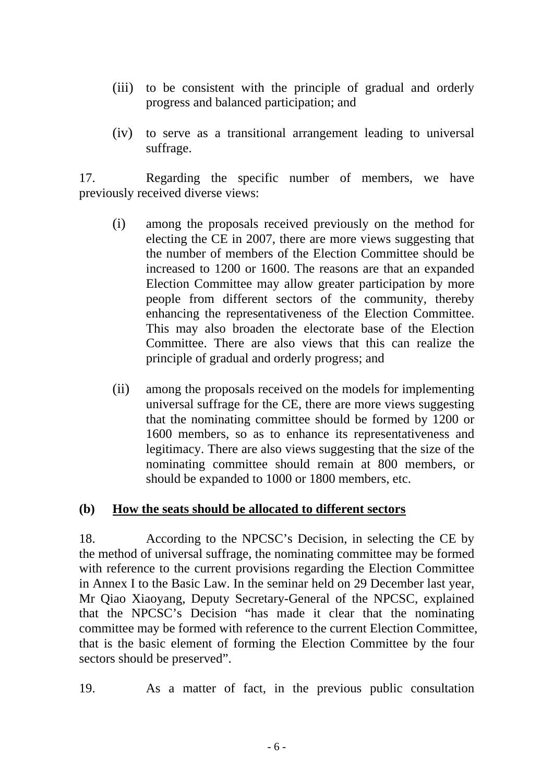- (iii) to be consistent with the principle of gradual and orderly progress and balanced participation; and
- (iv) to serve as a transitional arrangement leading to universal suffrage.

17. Regarding the specific number of members, we have previously received diverse views:

- (i) among the proposals received previously on the method for electing the CE in 2007, there are more views suggesting that the number of members of the Election Committee should be increased to 1200 or 1600. The reasons are that an expanded Election Committee may allow greater participation by more people from different sectors of the community, thereby enhancing the representativeness of the Election Committee. This may also broaden the electorate base of the Election Committee. There are also views that this can realize the principle of gradual and orderly progress; and
- (ii) among the proposals received on the models for implementing universal suffrage for the CE, there are more views suggesting that the nominating committee should be formed by 1200 or 1600 members, so as to enhance its representativeness and legitimacy. There are also views suggesting that the size of the nominating committee should remain at 800 members, or should be expanded to 1000 or 1800 members, etc.

#### **(b) How the seats should be allocated to different sectors**

18. According to the NPCSC's Decision, in selecting the CE by the method of universal suffrage, the nominating committee may be formed with reference to the current provisions regarding the Election Committee in Annex I to the Basic Law. In the seminar held on 29 December last year, Mr Qiao Xiaoyang, Deputy Secretary-General of the NPCSC, explained that the NPCSC's Decision "has made it clear that the nominating committee may be formed with reference to the current Election Committee, that is the basic element of forming the Election Committee by the four sectors should be preserved".

19. As a matter of fact, in the previous public consultation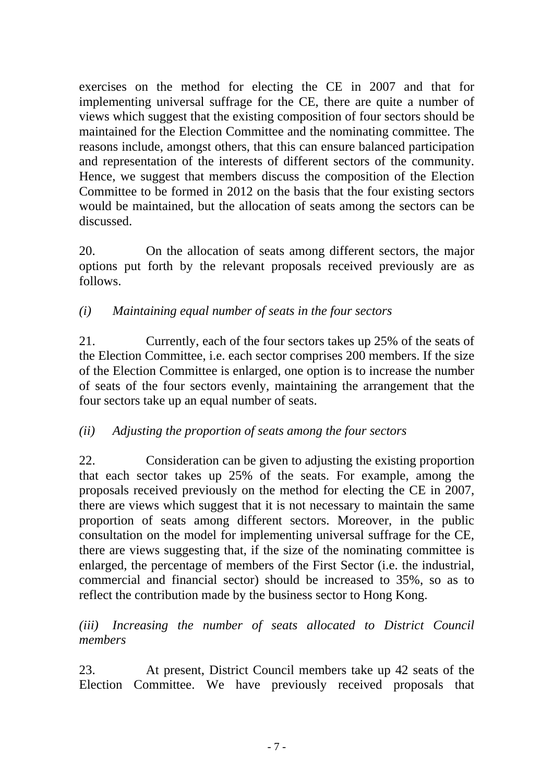exercises on the method for electing the CE in 2007 and that for implementing universal suffrage for the CE, there are quite a number of views which suggest that the existing composition of four sectors should be maintained for the Election Committee and the nominating committee. The reasons include, amongst others, that this can ensure balanced participation and representation of the interests of different sectors of the community. Hence, we suggest that members discuss the composition of the Election Committee to be formed in 2012 on the basis that the four existing sectors would be maintained, but the allocation of seats among the sectors can be discussed.

20. On the allocation of seats among different sectors, the major options put forth by the relevant proposals received previously are as follows.

## *(i) Maintaining equal number of seats in the four sectors*

21. Currently, each of the four sectors takes up 25% of the seats of the Election Committee, i.e. each sector comprises 200 members. If the size of the Election Committee is enlarged, one option is to increase the number of seats of the four sectors evenly, maintaining the arrangement that the four sectors take up an equal number of seats.

## *(ii) Adjusting the proportion of seats among the four sectors*

22. Consideration can be given to adjusting the existing proportion that each sector takes up 25% of the seats. For example, among the proposals received previously on the method for electing the CE in 2007, there are views which suggest that it is not necessary to maintain the same proportion of seats among different sectors. Moreover, in the public consultation on the model for implementing universal suffrage for the CE, there are views suggesting that, if the size of the nominating committee is enlarged, the percentage of members of the First Sector (i.e. the industrial, commercial and financial sector) should be increased to 35%, so as to reflect the contribution made by the business sector to Hong Kong.

*(iii) Increasing the number of seats allocated to District Council members* 

23. At present, District Council members take up 42 seats of the Election Committee. We have previously received proposals that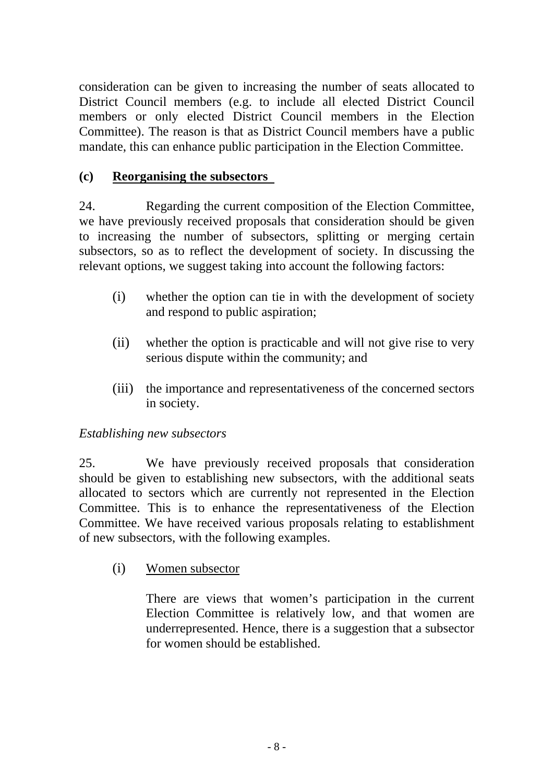consideration can be given to increasing the number of seats allocated to District Council members (e.g. to include all elected District Council members or only elected District Council members in the Election Committee). The reason is that as District Council members have a public mandate, this can enhance public participation in the Election Committee.

## **(c) Reorganising the subsectors**

24. Regarding the current composition of the Election Committee, we have previously received proposals that consideration should be given to increasing the number of subsectors, splitting or merging certain subsectors, so as to reflect the development of society. In discussing the relevant options, we suggest taking into account the following factors:

- (i) whether the option can tie in with the development of society and respond to public aspiration;
- (ii) whether the option is practicable and will not give rise to very serious dispute within the community; and
- (iii) the importance and representativeness of the concerned sectors in society.

## *Establishing new subsectors*

25. We have previously received proposals that consideration should be given to establishing new subsectors, with the additional seats allocated to sectors which are currently not represented in the Election Committee. This is to enhance the representativeness of the Election Committee. We have received various proposals relating to establishment of new subsectors, with the following examples.

## (i) Women subsector

There are views that women's participation in the current Election Committee is relatively low, and that women are underrepresented. Hence, there is a suggestion that a subsector for women should be established.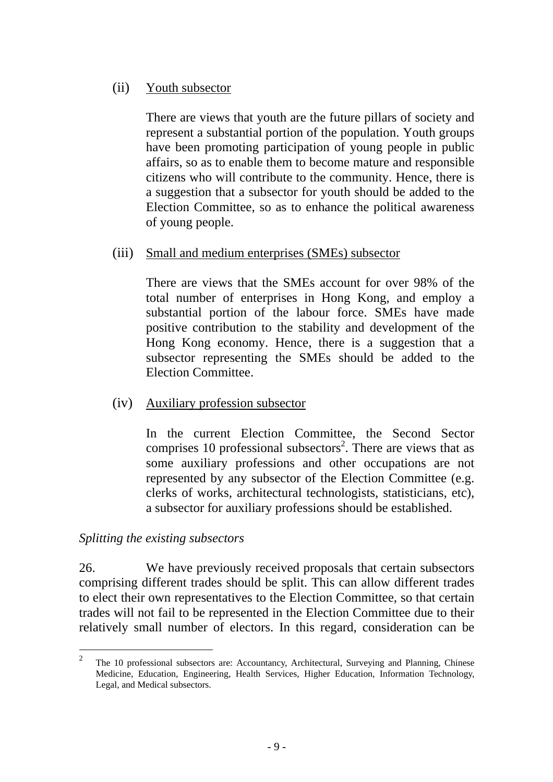#### (ii) Youth subsector

There are views that youth are the future pillars of society and represent a substantial portion of the population. Youth groups have been promoting participation of young people in public affairs, so as to enable them to become mature and responsible citizens who will contribute to the community. Hence, there is a suggestion that a subsector for youth should be added to the Election Committee, so as to enhance the political awareness of young people.

#### (iii) Small and medium enterprises (SMEs) subsector

There are views that the SMEs account for over 98% of the total number of enterprises in Hong Kong, and employ a substantial portion of the labour force. SMEs have made positive contribution to the stability and development of the Hong Kong economy. Hence, there is a suggestion that a subsector representing the SMEs should be added to the Election Committee.

(iv) Auxiliary profession subsector

In the current Election Committee, the Second Sector comprises 10 professional subsectors<sup>2</sup>. There are views that as some auxiliary professions and other occupations are not represented by any subsector of the Election Committee (e.g. clerks of works, architectural technologists, statisticians, etc), a subsector for auxiliary professions should be established.

#### *Splitting the existing subsectors*

26. We have previously received proposals that certain subsectors comprising different trades should be split. This can allow different trades to elect their own representatives to the Election Committee, so that certain trades will not fail to be represented in the Election Committee due to their relatively small number of electors. In this regard, consideration can be

 $\mathcal{L}$ <sup>2</sup> The 10 professional subsectors are: Accountancy, Architectural, Surveying and Planning, Chinese Medicine, Education, Engineering, Health Services, Higher Education, Information Technology, Legal, and Medical subsectors.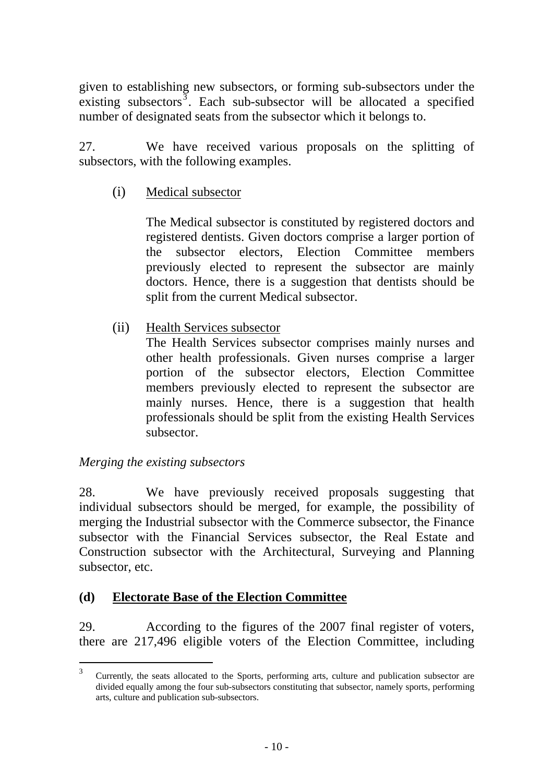given to establishing new subsectors, or forming sub-subsectors under the existing subsectors  $\overline{3}$ . Each sub-subsector will be allocated a specified number of designated seats from the subsector which it belongs to.

27. We have received various proposals on the splitting of subsectors, with the following examples.

## (i) Medical subsector

The Medical subsector is constituted by registered doctors and registered dentists. Given doctors comprise a larger portion of the subsector electors, Election Committee members previously elected to represent the subsector are mainly doctors. Hence, there is a suggestion that dentists should be split from the current Medical subsector.

## (ii) Health Services subsector

The Health Services subsector comprises mainly nurses and other health professionals. Given nurses comprise a larger portion of the subsector electors, Election Committee members previously elected to represent the subsector are mainly nurses. Hence, there is a suggestion that health professionals should be split from the existing Health Services subsector.

## *Merging the existing subsectors*

28. We have previously received proposals suggesting that individual subsectors should be merged, for example, the possibility of merging the Industrial subsector with the Commerce subsector, the Finance subsector with the Financial Services subsector, the Real Estate and Construction subsector with the Architectural, Surveying and Planning subsector, etc.

## **(d) Electorate Base of the Election Committee**

29. According to the figures of the 2007 final register of voters, there are 217,496 eligible voters of the Election Committee, including

 $\overline{\mathcal{E}}$ <sup>3</sup> Currently, the seats allocated to the Sports, performing arts, culture and publication subsector are divided equally among the four sub-subsectors constituting that subsector, namely sports, performing arts, culture and publication sub-subsectors.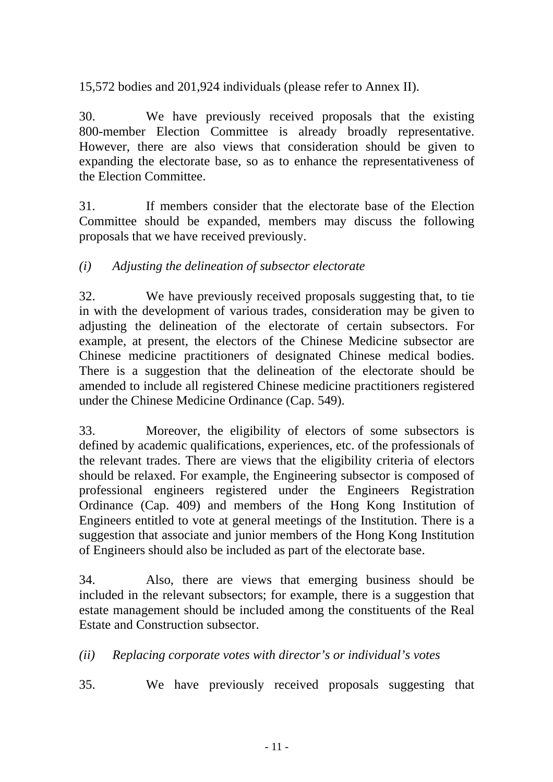15,572 bodies and 201,924 individuals (please refer to Annex II).

30. We have previously received proposals that the existing 800-member Election Committee is already broadly representative. However, there are also views that consideration should be given to expanding the electorate base, so as to enhance the representativeness of the Election Committee.

31. If members consider that the electorate base of the Election Committee should be expanded, members may discuss the following proposals that we have received previously.

## *(i) Adjusting the delineation of subsector electorate*

32. We have previously received proposals suggesting that, to tie in with the development of various trades, consideration may be given to adjusting the delineation of the electorate of certain subsectors. For example, at present, the electors of the Chinese Medicine subsector are Chinese medicine practitioners of designated Chinese medical bodies. There is a suggestion that the delineation of the electorate should be amended to include all registered Chinese medicine practitioners registered under the Chinese Medicine Ordinance (Cap. 549).

33. Moreover, the eligibility of electors of some subsectors is defined by academic qualifications, experiences, etc. of the professionals of the relevant trades. There are views that the eligibility criteria of electors should be relaxed. For example, the Engineering subsector is composed of professional engineers registered under the Engineers Registration Ordinance (Cap. 409) and members of the Hong Kong Institution of Engineers entitled to vote at general meetings of the Institution. There is a suggestion that associate and junior members of the Hong Kong Institution of Engineers should also be included as part of the electorate base.

34. Also, there are views that emerging business should be included in the relevant subsectors; for example, there is a suggestion that estate management should be included among the constituents of the Real Estate and Construction subsector.

*(ii) Replacing corporate votes with director's or individual's votes* 

35. We have previously received proposals suggesting that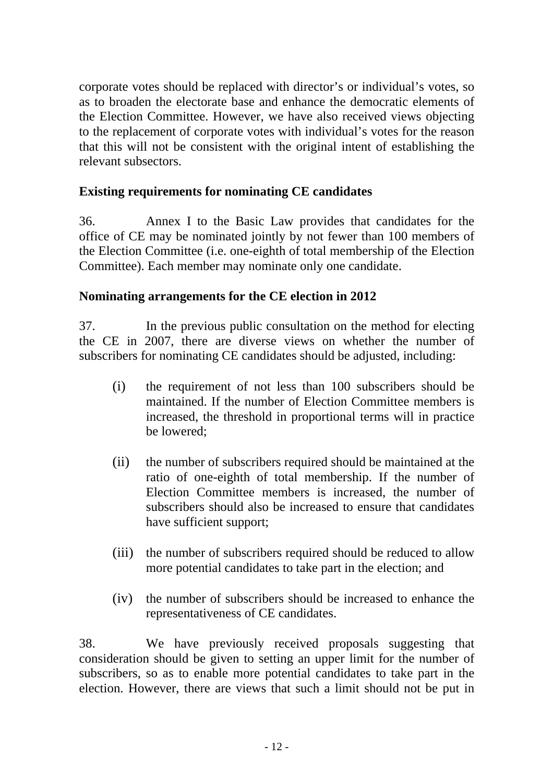corporate votes should be replaced with director's or individual's votes, so as to broaden the electorate base and enhance the democratic elements of the Election Committee. However, we have also received views objecting to the replacement of corporate votes with individual's votes for the reason that this will not be consistent with the original intent of establishing the relevant subsectors.

#### **Existing requirements for nominating CE candidates**

36. Annex I to the Basic Law provides that candidates for the office of CE may be nominated jointly by not fewer than 100 members of the Election Committee (i.e. one-eighth of total membership of the Election Committee). Each member may nominate only one candidate.

#### **Nominating arrangements for the CE election in 2012**

37. In the previous public consultation on the method for electing the CE in 2007, there are diverse views on whether the number of subscribers for nominating CE candidates should be adjusted, including:

- (i) the requirement of not less than 100 subscribers should be maintained. If the number of Election Committee members is increased, the threshold in proportional terms will in practice be lowered;
- (ii) the number of subscribers required should be maintained at the ratio of one-eighth of total membership. If the number of Election Committee members is increased, the number of subscribers should also be increased to ensure that candidates have sufficient support;
- (iii) the number of subscribers required should be reduced to allow more potential candidates to take part in the election; and
- (iv) the number of subscribers should be increased to enhance the representativeness of CE candidates.

38. We have previously received proposals suggesting that consideration should be given to setting an upper limit for the number of subscribers, so as to enable more potential candidates to take part in the election. However, there are views that such a limit should not be put in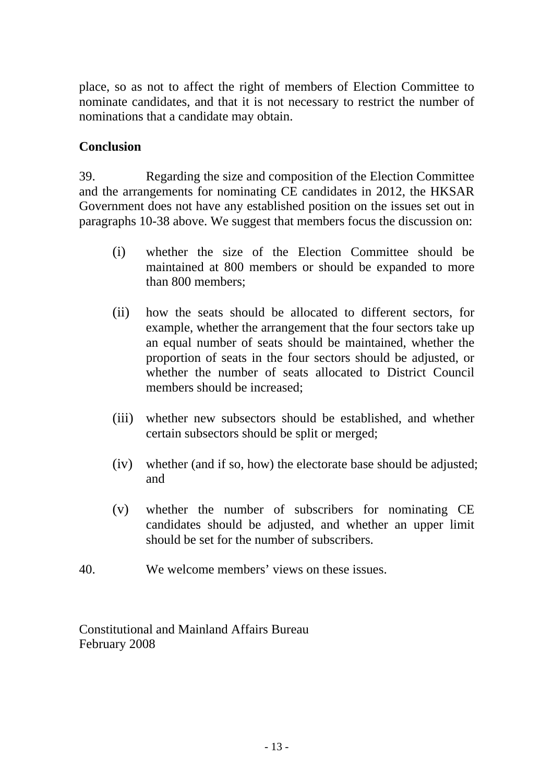place, so as not to affect the right of members of Election Committee to nominate candidates, and that it is not necessary to restrict the number of nominations that a candidate may obtain.

## **Conclusion**

39. Regarding the size and composition of the Election Committee and the arrangements for nominating CE candidates in 2012, the HKSAR Government does not have any established position on the issues set out in paragraphs 10-38 above. We suggest that members focus the discussion on:

- (i) whether the size of the Election Committee should be maintained at 800 members or should be expanded to more than 800 members;
- (ii) how the seats should be allocated to different sectors, for example, whether the arrangement that the four sectors take up an equal number of seats should be maintained, whether the proportion of seats in the four sectors should be adjusted, or whether the number of seats allocated to District Council members should be increased;
- (iii) whether new subsectors should be established, and whether certain subsectors should be split or merged;
- (iv) whether (and if so, how) the electorate base should be adjusted; and
- (v) whether the number of subscribers for nominating CE candidates should be adjusted, and whether an upper limit should be set for the number of subscribers.
- 40. We welcome members' views on these issues.

Constitutional and Mainland Affairs Bureau February 2008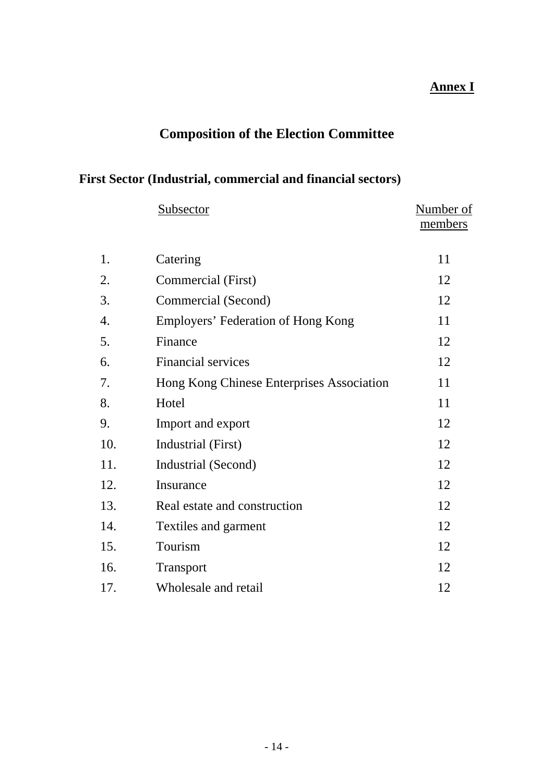## **Annex I**

# **Composition of the Election Committee**

## **First Sector (Industrial, commercial and financial sectors)**

|     | Subsector                                 | Number of |
|-----|-------------------------------------------|-----------|
|     |                                           | members   |
| 1.  | Catering                                  | 11        |
| 2.  | Commercial (First)                        | 12        |
| 3.  | Commercial (Second)                       | 12        |
| 4.  | Employers' Federation of Hong Kong        | 11        |
| 5.  | Finance                                   | 12        |
| 6.  | <b>Financial services</b>                 | 12        |
| 7.  | Hong Kong Chinese Enterprises Association | 11        |
| 8.  | Hotel                                     | 11        |
| 9.  | Import and export                         | 12        |
| 10. | Industrial (First)                        | 12        |
| 11. | Industrial (Second)                       | 12        |
| 12. | Insurance                                 | 12        |
| 13. | Real estate and construction              | 12        |
| 14. | Textiles and garment                      | 12        |
| 15. | Tourism                                   | 12        |
| 16. | Transport                                 | 12        |
| 17. | Wholesale and retail                      | 12        |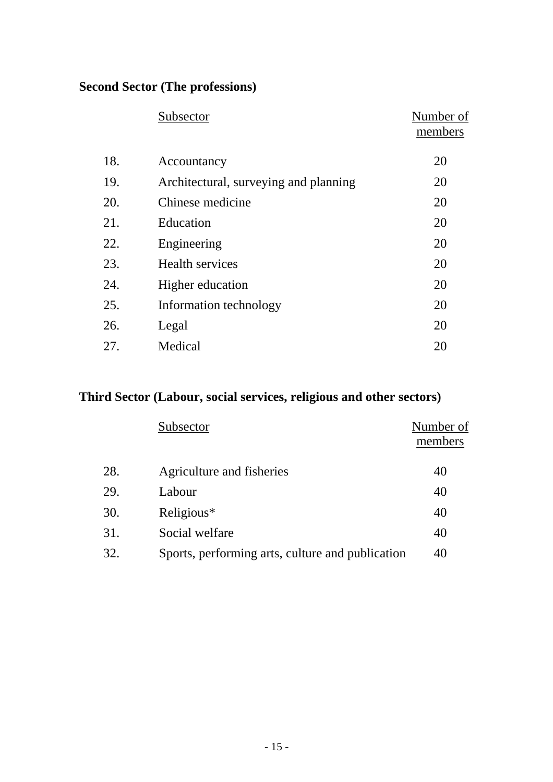## **Second Sector (The professions)**

|     | Subsector                             | Number of<br>members |
|-----|---------------------------------------|----------------------|
| 18. | Accountancy                           | 20                   |
| 19. | Architectural, surveying and planning | 20                   |
| 20. | Chinese medicine                      | 20                   |
| 21. | Education                             | 20                   |
| 22. | Engineering                           | 20                   |
| 23. | <b>Health services</b>                | 20                   |
| 24. | Higher education                      | 20                   |
| 25. | Information technology                | 20                   |
| 26. | Legal                                 | 20                   |
| 27. | Medical                               | 20                   |

# **Third Sector (Labour, social services, religious and other sectors)**

|     | Subsector                                        | Number of<br>members |
|-----|--------------------------------------------------|----------------------|
| 28. | Agriculture and fisheries                        | 40                   |
| 29. | Labour                                           | 40                   |
| 30. | Religious*                                       | 40                   |
| 31. | Social welfare                                   | 40                   |
| 32. | Sports, performing arts, culture and publication | 40                   |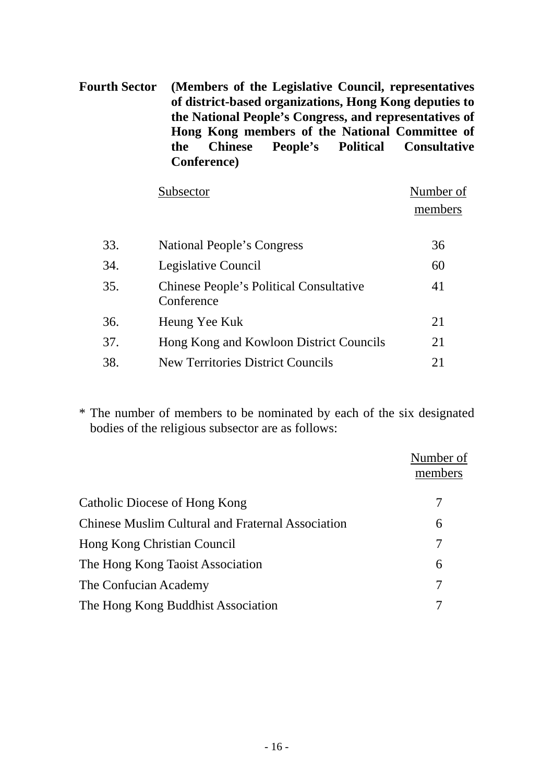**Fourth Sector (Members of the Legislative Council, representatives of district-based organizations, Hong Kong deputies to the National People's Congress, and representatives of Hong Kong members of the National Committee of the Chinese People's Political Consultative Conference)** 

|     | Subsector                                                    | Number of |
|-----|--------------------------------------------------------------|-----------|
|     |                                                              | members   |
|     |                                                              |           |
| 33. | National People's Congress                                   | 36        |
| 34. | Legislative Council                                          | 60        |
| 35. | <b>Chinese People's Political Consultative</b><br>Conference | 41        |
| 36. | Heung Yee Kuk                                                | 21        |
| 37. | Hong Kong and Kowloon District Councils                      | 21        |
| 38. | <b>New Territories District Councils</b>                     | 21        |

\* The number of members to be nominated by each of the six designated bodies of the religious subsector are as follows:

|                                                          | Number of<br>members |
|----------------------------------------------------------|----------------------|
| Catholic Diocese of Hong Kong                            |                      |
| <b>Chinese Muslim Cultural and Fraternal Association</b> | 6                    |
| Hong Kong Christian Council                              | 7                    |
| The Hong Kong Taoist Association                         | 6                    |
| The Confucian Academy                                    | 7                    |
| The Hong Kong Buddhist Association                       |                      |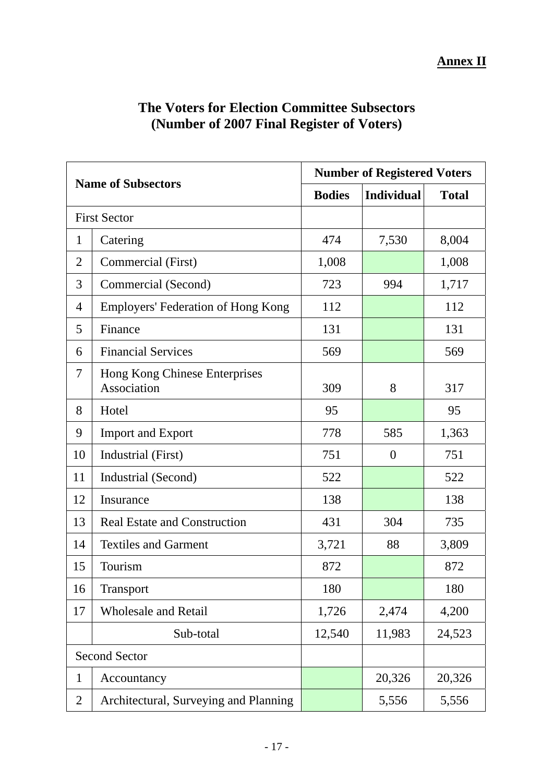| <b>Name of Subsectors</b> |                                              | <b>Number of Registered Voters</b> |                   |              |
|---------------------------|----------------------------------------------|------------------------------------|-------------------|--------------|
|                           |                                              | <b>Bodies</b>                      | <b>Individual</b> | <b>Total</b> |
| <b>First Sector</b>       |                                              |                                    |                   |              |
| $\mathbf{1}$              | Catering                                     | 474                                | 7,530             | 8,004        |
| $\overline{2}$            | Commercial (First)                           | 1,008                              |                   | 1,008        |
| 3                         | Commercial (Second)                          | 723                                | 994               | 1,717        |
| 4                         | <b>Employers' Federation of Hong Kong</b>    | 112                                |                   | 112          |
| 5                         | Finance                                      | 131                                |                   | 131          |
| 6                         | <b>Financial Services</b>                    | 569                                |                   | 569          |
| 7                         | Hong Kong Chinese Enterprises<br>Association | 309                                | 8                 | 317          |
| 8                         | Hotel                                        | 95                                 |                   | 95           |
| 9                         | <b>Import and Export</b>                     | 778                                | 585               | 1,363        |
| 10                        | Industrial (First)                           | 751                                | $\boldsymbol{0}$  | 751          |
| 11                        | Industrial (Second)                          | 522                                |                   | 522          |
| 12                        | Insurance                                    | 138                                |                   | 138          |
| 13                        | <b>Real Estate and Construction</b>          | 431                                | 304               | 735          |
| 14                        | <b>Textiles and Garment</b>                  | 3,721                              | 88                | 3,809        |
| 15                        | Tourism                                      | 872                                |                   | 872          |
| 16                        | Transport                                    | 180                                |                   | 180          |
| 17                        | <b>Wholesale and Retail</b>                  | 1,726                              | 2,474             | 4,200        |
|                           | Sub-total                                    | 12,540                             | 11,983            | 24,523       |
| <b>Second Sector</b>      |                                              |                                    |                   |              |
| 1                         | Accountancy                                  |                                    | 20,326            | 20,326       |
| $\overline{2}$            | Architectural, Surveying and Planning        |                                    | 5,556             | 5,556        |

## **The Voters for Election Committee Subsectors (Number of 2007 Final Register of Voters)**